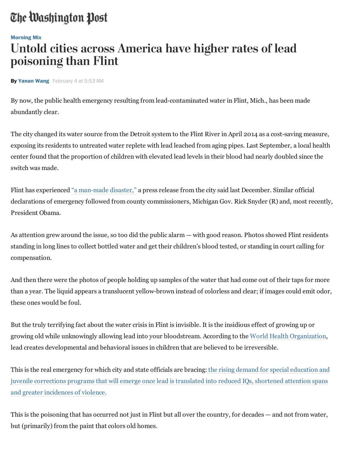# The Washington Post

#### [Morning](http://www.washingtonpost.com/news/morning-mix/) Mix

## Untold cities across America have higher rates of lead poisoning than Flint

By [Yanan](http://www.washingtonpost.com/people/yanan-wang) Wang February 4 at 5:53 AM

By now, the public health emergency resulting from lead-contaminated water in Flint, Mich., has been made abundantly clear.

The city changed its water source from the Detroit system to the Flint River in April 2014 as a cost-saving measure, exposing its residents to untreated water replete with lead leached from aging pipes. Last September, a local health center found that the proportion of children with elevated lead levels in their blood had nearly doubled since the switch was made.

Flint has experienced "a man-made disaster," a press release from the city said last December. Similar official declarations of emergency followed from county commissioners, Michigan Gov. Rick Snyder (R) and, most recently, President Obama.

As attention grew around the issue, so too did the public alarm — with good reason. Photos showed Flint residents standing in long lines to collect bottled water and get their children's blood tested, or standing in court calling for compensation.

And then there were the photos of people holding up samples of the water that had come out of their taps for more than a year. The liquid appears a translucent yellow-brown instead of colorless and clear; if images could emit odor, these ones would be foul.

But the truly terrifying fact about the water crisis in Flint is invisible. It is the insidious effect of growing up or growing old while unknowingly allowing lead into your bloodstream. According to the World Health [Organization](http://www.who.int/mediacentre/factsheets/fs379/en/), lead creates developmental and behavioral issues in children that are believed to be irreversible.

This is the real emergency for which city and state officials are bracing: the rising demand for special education and juvenile [corrections](http://www.mlive.com/news/flint/index.ssf/2015/12/mayor_karen_weaver_declares_st.html) programs that will emerge once lead is translated into reduced IQs, shortened attention spans and greater incidences of violence.

This is the poisoning that has occurred not just in Flint but all over the country, for decades — and not from water, but (primarily) from the paint that colors old homes.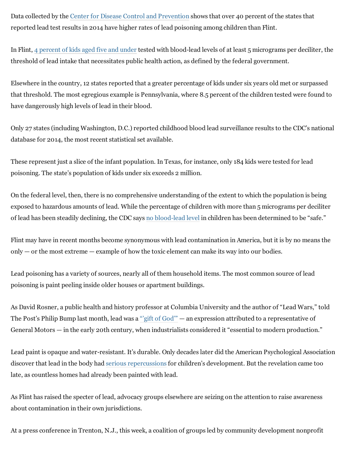Data collected by the Center for Disease Control and [Prevention](http://www.cdc.gov/nceh/lead/data/Website_StateConfirmedByYear_1997_2014_01112016.htm) shows that over 40 percent of the states that reported lead test results in 2014 have higher rates of lead poisoning among children than Flint.

In Flint, 4 [percent](http://flintwaterstudy.org/2015/09/pediatric-lead-exposure-presentation-from-hurley-medical-center-doctors-concerning-flint-mi/) of kids aged five and under tested with blood-lead levels of at least 5 micrograms per deciliter, the threshold of lead intake that necessitates public health action, as defined by the federal government.

Elsewhere in the country, 12 states reported that a greater percentage of kids under six years old met or surpassed that threshold. The most egregious example is Pennsylvania, where 8.5 percent of the children tested were found to have dangerously high levels of lead in their blood.

Only 27 states (including Washington, D.C.) reported childhood blood lead surveillance results to the CDC's national database for 2014, the most recent statistical set available.

These represent just a slice of the infant population. In Texas, for instance, only 184 kids were tested for lead poisoning. The state's population of kids under six exceeds 2 million.

On the federal level, then, there is no comprehensive understanding of the extent to which the population is being exposed to hazardous amounts of lead. While the percentage of children with more than 5 micrograms per deciliter of lead has been steadily declining, the CDC says no blood-lead level in children has been determined to be "safe."

Flint may have in recent months become synonymous with lead contamination in America, but it is by no means the only — or the most extreme — example of how the toxic element can make its way into our bodies.

Lead poisoning has a variety of sources, nearly all of them household items. The most common source of lead poisoning is paint peeling inside older houses or apartment buildings.

As David Rosner, a public health and history professor at Columbia University and the author of "Lead Wars," told The Post's Philip Bump last month, lead was a "'gift of [God'"](https://www.washingtonpost.com/news/the-fix/wp/2016/01/19/lead-contamination-exists-throughout-the-u-s-but-flint-has-a-special-history/) — an expression attributed to a representative of General Motors — in the early 20th century, when industrialists considered it "essential to modern production."

Lead paint is opaque and water-resistant. It's durable. Only decades later did the American Psychological Association discover that lead in the body had serious [repercussions](http://www.apa.org/action/resources/research-in-action/lead.aspx) for children's development. But the revelation came too late, as countless homes had already been painted with lead.

As Flint has raised the specter of lead, advocacy groups elsewhere are seizing on the attention to raise awareness about contamination in their own jurisdictions.

At a press conference in Trenton, N.J., this week, a coalition of groups led by community development nonprofit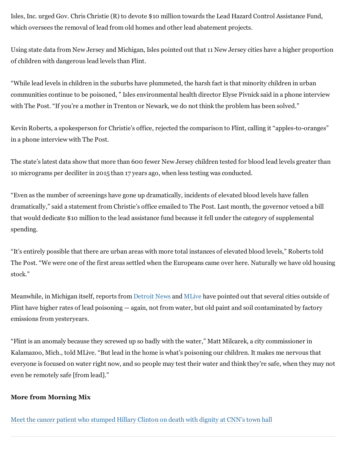Isles, Inc. urged Gov. Chris Christie (R) to devote \$10 million towards the Lead Hazard Control Assistance Fund, which oversees the removal of lead from old homes and other lead abatement projects.

Using state data from New Jersey and Michigan, Isles pointed out that 11 New Jersey cities have a higher proportion of children with dangerous lead levels than Flint.

"While lead levels in children in the suburbs have plummeted, the harsh fact is that minority children in urban communities continue to be poisoned, " Isles environmental health director Elyse Pivnick said in a phone interview with The Post. "If you're a mother in Trenton or Newark, we do not think the problem has been solved."

Kevin Roberts, a spokesperson for Christie's office, rejected the comparison to Flint, calling it "apples-to-oranges" in a phone interview with The Post.

The state's latest data show that more than 600 fewer New Jersey children tested for blood lead levels greater than 10 micrograms per deciliter in 2015 than 17 years ago, when less testing was conducted.

"Even as the number of screenings have gone up dramatically, incidents of elevated blood levels have fallen dramatically," said a statement from Christie's office emailed to The Post. Last month, the governor vetoed a bill that would dedicate \$10 million to the lead assistance fund because it fell under the category of supplemental spending.

"It's entirely possible that there are urban areas with more total instances of elevated blood levels," Roberts told The Post. "We were one of the first areas settled when the Europeans came over here. Naturally we have old housing stock."

Meanwhile, in Michigan itself, reports from [Detroit](http://www.detroitnews.com/story/news/michigan/flint-water-crisis/2016/01/27/many-michigan-cities-higher-lead-levels-flint/79438144/) News and [MLive](http://www.mlive.com/news/index.ssf/2016/02/thousands_of_michigan_children.html) have pointed out that several cities outside of Flint have higher rates of lead poisoning — again, not from water, but old paint and soil contaminated by factory emissions from yesteryears.

"Flint is an anomaly because they screwed up so badly with the water," Matt Milcarek, a city commissioner in Kalamazoo, Mich., told MLive. "But lead in the home is what's poisoning our children. It makes me nervous that everyone is focused on water right now, and so people may test their water and think they're safe, when they may not even be remotely safe [from lead]."

#### More from Morning Mix

Meet the cancer patient who [stumped](https://www.washingtonpost.com/news/morning-mix/wp/2016/02/04/meet-the-cancer-patient-who-challenged-clinton-about-death-with-dignity-on-cnn/) Hillary Clinton on death with dignity at CNN's town hall